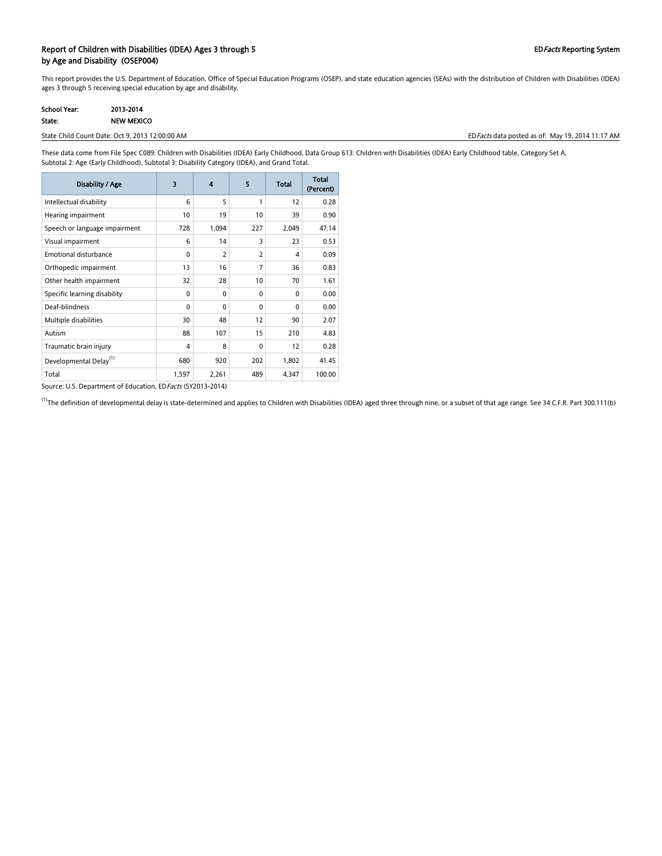### Report of Children with Disabilities (IDEA) Ages 3 through 5 EDFacts Reporting System by Age and Disability (OSEP004)

This report provides the U.S. Department of Education, Office of Special Education Programs (OSEP), and state education agencies (SEAs) with the distribution of Children with Disabilities (IDEA) ages 3 through 5 receiving special education by age and disability.

| School Year: | 2013-2014         |
|--------------|-------------------|
| State:       | <b>NEW MEXICO</b> |

State Child Count Date: Oct 9, 2013 12:00:00 AM **EDFacts data posted as of:** May 19, 2014 11:17 AM

These data come from File Spec C089: Children with Disabilities (IDEA) Early Childhood, Data Group 613: Children with Disabilities (IDEA) Early Childhood table, Category Set A, Subtotal 2: Age (Early Childhood), Subtotal 3: Disability Category (IDEA), and Grand Total.

| Disability / Age                   | 3            | 4              | 5              | <b>Total</b> | Total<br>(Percent) |
|------------------------------------|--------------|----------------|----------------|--------------|--------------------|
| Intellectual disability            | 6            | 5              | 1              | 12           | 0.28               |
| Hearing impairment                 | 10           | 19             | 10             | 39           | 0.90               |
| Speech or language impairment      | 728          | 1,094          | 227            | 2,049        | 47.14              |
| Visual impairment                  | 6            | 14             | 3              | 23           | 0.53               |
| Emotional disturbance              | $\mathbf{0}$ | $\overline{2}$ | $\overline{2}$ | 4            | 0.09               |
| Orthopedic impairment              | 13           | 16             | 7              | 36           | 0.83               |
| Other health impairment            | 32           | 28             | 10             | 70           | 1.61               |
| Specific learning disability       | $\mathbf{0}$ | $\mathbf{0}$   | $\Omega$       | $\mathbf{0}$ | 0.00               |
| Deaf-blindness                     | $\mathbf{0}$ | 0              | $\Omega$       | $\mathbf{0}$ | 0.00               |
| Multiple disabilities              | 30           | 48             | 12             | 90           | 2.07               |
| Autism                             | 88           | 107            | 15             | 210          | 4.83               |
| Traumatic brain injury             | 4            | 8              | $\Omega$       | 12           | 0.28               |
| Developmental Delay <sup>(1)</sup> | 680          | 920            | 202            | 1,802        | 41.45              |
| Total                              | 1,597        | 2,261          | 489            | 4,347        | 100.00             |

Source: U.S. Department of Education, ED Facts (SY2013-2014)

<sup>(1)</sup>The definition of developmental delay is state-determined and applies to Children with Disabilities (IDEA) aged three through nine, or a subset of that age range. See 34 C.F.R. Part 300.111(b)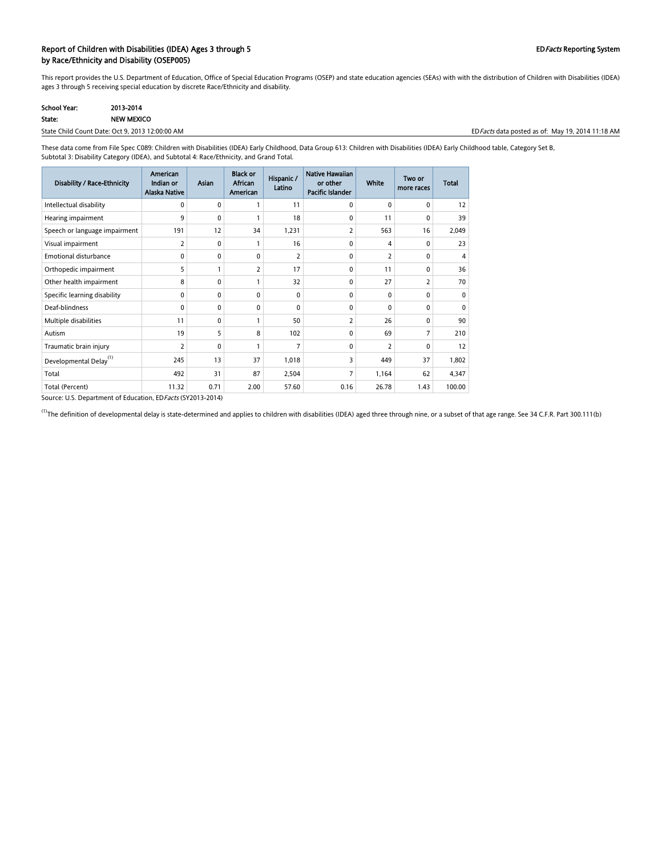#### Report of Children with Disabilities (IDEA) Ages 3 through 5 EDFacts Reporting System by Race/Ethnicity and Disability (OSEP005)

This report provides the U.S. Department of Education, Office of Special Education Programs (OSEP) and state education agencies (SEAs) with with the distribution of Children with Disabilities (IDEA) ages 3 through 5 receiving special education by discrete Race/Ethnicity and disability.

| <b>School Year:</b> | 2013-2014         |
|---------------------|-------------------|
| State:              | <b>NEW MEXICO</b> |

State Child Count Date: Oct 9, 2013 12:00:00 AM EDFacts data posted as of: May 19, 2014 11:18 AM

These data come from File Spec C089: Children with Disabilities (IDEA) Early Childhood, Data Group 613: Children with Disabilities (IDEA) Early Childhood table, Category Set B, Subtotal 3: Disability Category (IDEA), and Subtotal 4: Race/Ethnicity, and Grand Total.

| Disability / Race-Ethnicity        | American<br>Indian or<br><b>Alaska Native</b> | <b>Asian</b> | <b>Black or</b><br><b>African</b><br>American | Hispanic /<br>Latino | Native Hawaiian<br>or other<br>Pacific Islander | <b>White</b> | Two or<br>more races | <b>Total</b> |
|------------------------------------|-----------------------------------------------|--------------|-----------------------------------------------|----------------------|-------------------------------------------------|--------------|----------------------|--------------|
| Intellectual disability            | 0                                             | 0            |                                               | 11                   | $\mathbf{0}$                                    | $\mathbf{0}$ | 0                    | 12           |
| Hearing impairment                 | 9                                             | 0            |                                               | 18                   | 0                                               | 11           | 0                    | 39           |
| Speech or language impairment      | 191                                           | 12           | 34                                            | 1,231                | 2                                               | 563          | 16                   | 2,049        |
| Visual impairment                  | 2                                             | $\mathbf{0}$ | $\mathbf{1}$                                  | 16                   | $\mathbf{0}$                                    | 4            | 0                    | 23           |
| <b>Emotional disturbance</b>       | 0                                             | $\mathbf{0}$ | $\Omega$                                      | 2                    | $\mathbf{0}$                                    | 2            | $\mathbf{0}$         | 4            |
| Orthopedic impairment              | 5                                             |              | 2                                             | 17                   | $\Omega$                                        | 11           | 0                    | 36           |
| Other health impairment            | 8                                             | 0            | 1                                             | 32                   | 0                                               | 27           | 2                    | 70           |
| Specific learning disability       | 0                                             | $\mathbf{0}$ | $\Omega$                                      | 0                    | $\Omega$                                        | $\Omega$     | 0                    | $\Omega$     |
| Deaf-blindness                     | $\mathbf{0}$                                  | 0            | $\Omega$                                      | 0                    | $\Omega$                                        | $\Omega$     | 0                    | $\Omega$     |
| Multiple disabilities              | 11                                            | 0            | $\mathbf{1}$                                  | 50                   | 2                                               | 26           | 0                    | 90           |
| Autism                             | 19                                            | 5            | 8                                             | 102                  | $\Omega$                                        | 69           | 7                    | 210          |
| Traumatic brain injury             | 2                                             | $\mathbf{0}$ | $\mathbf{1}$                                  | 7                    | $\mathbf{0}$                                    | 2            | $\mathbf{0}$         | 12           |
| Developmental Delay <sup>(1)</sup> | 245                                           | 13           | 37                                            | 1,018                | 3                                               | 449          | 37                   | 1,802        |
| Total                              | 492                                           | 31           | 87                                            | 2,504                |                                                 | 1,164        | 62                   | 4,347        |
| Total (Percent)                    | 11.32                                         | 0.71         | 2.00                                          | 57.60                | 0.16                                            | 26.78        | 1.43                 | 100.00       |

Source: U.S. Department of Education, EDFacts (SY2013-2014)

<sup>(1)</sup>The definition of developmental delay is state-determined and applies to children with disabilities (IDEA) aged three through nine, or a subset of that age range. See 34 C.F.R. Part 300.111(b)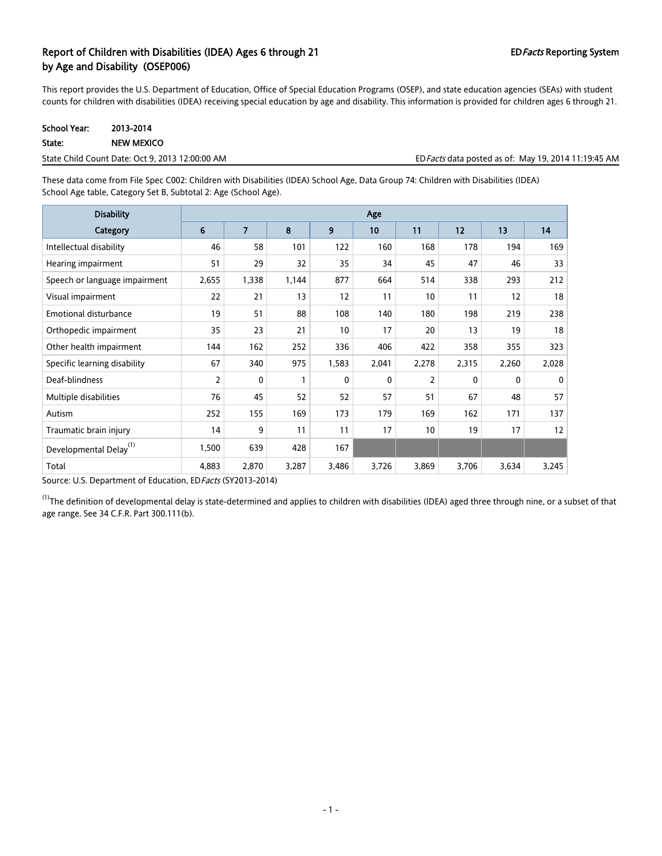## Report of Children with Disabilities (IDEA) Ages 6 through 21 EDFacts Reporting System by Age and Disability (OSEP006)

This report provides the U.S. Department of Education, Office of Special Education Programs (OSEP), and state education agencies (SEAs) with student counts for children with disabilities (IDEA) receiving special education by age and disability. This information is provided for children ages 6 through 21.

| <b>School Year:</b> | 2013-2014  |
|---------------------|------------|
| State:              | NEW MEXICO |

State Child Count Date: Oct 9, 2013 12:00:00 AM EDFacts data posted as of: May 19, 2014 11:19:45 AM

These data come from File Spec C002: Children with Disabilities (IDEA) School Age, Data Group 74: Children with Disabilities (IDEA) School Age table, Category Set B, Subtotal 2: Age (School Age).

| <b>Disability</b>                  | Age   |                |       |          |              |                |          |              |          |
|------------------------------------|-------|----------------|-------|----------|--------------|----------------|----------|--------------|----------|
| Category                           | 6     | $\overline{7}$ | 8     | 9        | 10           | 11             | 12       | 13           | 14       |
| Intellectual disability            | 46    | 58             | 101   | 122      | 160          | 168            | 178      | 194          | 169      |
| Hearing impairment                 | 51    | 29             | 32    | 35       | 34           | 45             | 47       | 46           | 33       |
| Speech or language impairment      | 2,655 | 1,338          | 1,144 | 877      | 664          | 514            | 338      | 293          | 212      |
| Visual impairment                  | 22    | 21             | 13    | 12       | 11           | 10             | 11       | 12           | 18       |
| <b>Emotional disturbance</b>       | 19    | 51             | 88    | 108      | 140          | 180            | 198      | 219          | 238      |
| Orthopedic impairment              | 35    | 23             | 21    | 10       | 17           | 20             | 13       | 19           | 18       |
| Other health impairment            | 144   | 162            | 252   | 336      | 406          | 422            | 358      | 355          | 323      |
| Specific learning disability       | 67    | 340            | 975   | 1,583    | 2,041        | 2,278          | 2,315    | 2,260        | 2,028    |
| Deaf-blindness                     | 2     | 0              | 1     | $\Omega$ | $\mathbf{0}$ | $\overline{2}$ | $\Omega$ | $\mathbf{0}$ | $\Omega$ |
| Multiple disabilities              | 76    | 45             | 52    | 52       | 57           | 51             | 67       | 48           | 57       |
| Autism                             | 252   | 155            | 169   | 173      | 179          | 169            | 162      | 171          | 137      |
| Traumatic brain injury             | 14    | 9              | 11    | 11       | 17           | 10             | 19       | 17           | 12       |
| Developmental Delay <sup>(1)</sup> | 1,500 | 639            | 428   | 167      |              |                |          |              |          |
| Total                              | 4,883 | 2,870          | 3,287 | 3,486    | 3,726        | 3,869          | 3,706    | 3,634        | 3,245    |

Source: U.S. Department of Education, EDFacts (SY2013-2014)

 $^{(1)}$ The definition of developmental delay is state-determined and applies to children with disabilities (IDEA) aged three through nine, or a subset of that age range. See 34 C.F.R. Part 300.111(b).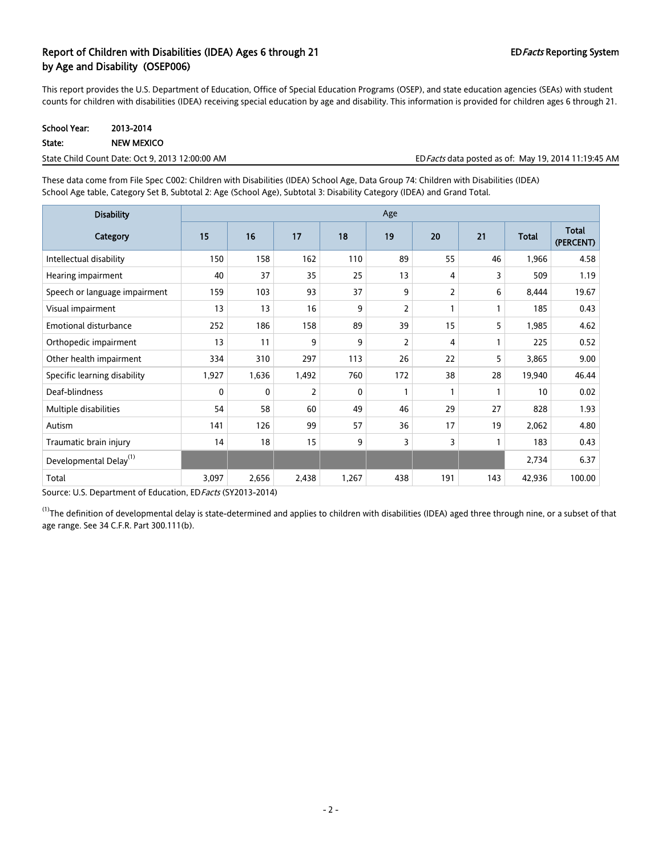## Report of Children with Disabilities (IDEA) Ages 6 through 21 EDFacts Reporting System by Age and Disability (OSEP006)

This report provides the U.S. Department of Education, Office of Special Education Programs (OSEP), and state education agencies (SEAs) with student counts for children with disabilities (IDEA) receiving special education by age and disability. This information is provided for children ages 6 through 21.

| School Year: | 2013-2014         |
|--------------|-------------------|
| State:       | <b>NEW MEXICO</b> |

| State Child Count Date: Oct 9, 2013 12:00:00 AM | ED <i>Facts</i> data posted as of: May 19, 2014 11:19:45 AM |
|-------------------------------------------------|-------------------------------------------------------------|
|                                                 |                                                             |

These data come from File Spec C002: Children with Disabilities (IDEA) School Age, Data Group 74: Children with Disabilities (IDEA) School Age table, Category Set B, Subtotal 2: Age (School Age), Subtotal 3: Disability Category (IDEA) and Grand Total.

| <b>Disability</b>                  | Age   |       |       |              |                |     |     |              |                           |
|------------------------------------|-------|-------|-------|--------------|----------------|-----|-----|--------------|---------------------------|
| Category                           | 15    | 16    | 17    | 18           | 19             | 20  | 21  | <b>Total</b> | <b>Total</b><br>(PERCENT) |
| Intellectual disability            | 150   | 158   | 162   | 110          | 89             | 55  | 46  | 1,966        | 4.58                      |
| Hearing impairment                 | 40    | 37    | 35    | 25           | 13             | 4   | 3   | 509          | 1.19                      |
| Speech or language impairment      | 159   | 103   | 93    | 37           | 9              | 2   | 6   | 8,444        | 19.67                     |
| Visual impairment                  | 13    | 13    | 16    | 9            | $\overline{2}$ |     |     | 185          | 0.43                      |
| <b>Emotional disturbance</b>       | 252   | 186   | 158   | 89           | 39             | 15  | 5   | 1,985        | 4.62                      |
| Orthopedic impairment              | 13    | 11    | 9     | 9            | $\overline{2}$ | 4   |     | 225          | 0.52                      |
| Other health impairment            | 334   | 310   | 297   | 113          | 26             | 22  | 5   | 3,865        | 9.00                      |
| Specific learning disability       | 1,927 | 1,636 | 1,492 | 760          | 172            | 38  | 28  | 19,940       | 46.44                     |
| Deaf-blindness                     | 0     | 0     | 2     | $\mathbf{0}$ | $\mathbf{1}$   |     |     | 10           | 0.02                      |
| Multiple disabilities              | 54    | 58    | 60    | 49           | 46             | 29  | 27  | 828          | 1.93                      |
| Autism                             | 141   | 126   | 99    | 57           | 36             | 17  | 19  | 2,062        | 4.80                      |
| Traumatic brain injury             | 14    | 18    | 15    | 9            | 3              | 3   |     | 183          | 0.43                      |
| Developmental Delay <sup>(1)</sup> |       |       |       |              |                |     |     | 2,734        | 6.37                      |
| Total                              | 3,097 | 2,656 | 2,438 | 1,267        | 438            | 191 | 143 | 42,936       | 100.00                    |

Source: U.S. Department of Education, ED Facts (SY2013-2014)

 $^{(1)}$ The definition of developmental delay is state-determined and applies to children with disabilities (IDEA) aged three through nine, or a subset of that age range. See 34 C.F.R. Part 300.111(b).